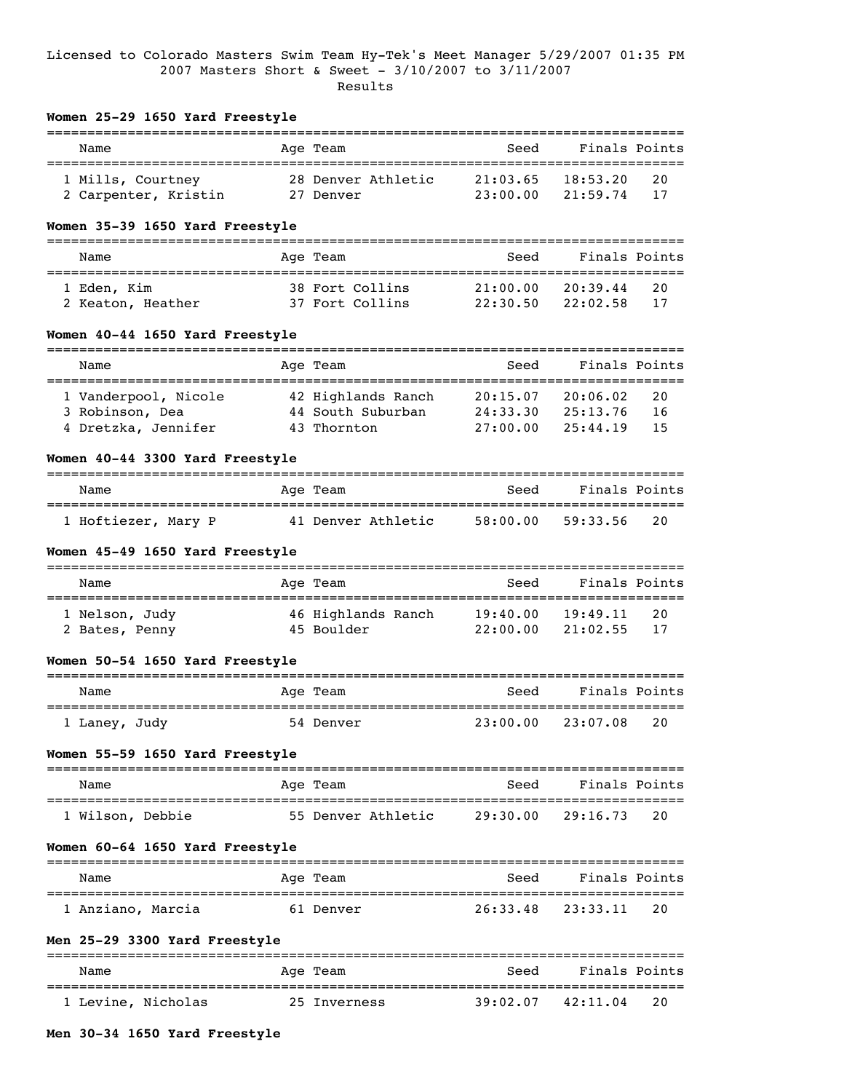## Licensed to Colorado Masters Swim Team Hy-Tek's Meet Manager 5/29/2007 01:35 PM 2007 Masters Short & Sweet - 3/10/2007 to 3/11/2007 Results

| Women 25-29 1650 Yard Freestyle |                                                                                                                                                                                                                                                 |                                                                                                                                                                                                                                                                        |                                                                                                                                                                                                                                                  |                                                                                                                   |                                                                                                                                                                                                                                                                                                       |
|---------------------------------|-------------------------------------------------------------------------------------------------------------------------------------------------------------------------------------------------------------------------------------------------|------------------------------------------------------------------------------------------------------------------------------------------------------------------------------------------------------------------------------------------------------------------------|--------------------------------------------------------------------------------------------------------------------------------------------------------------------------------------------------------------------------------------------------|-------------------------------------------------------------------------------------------------------------------|-------------------------------------------------------------------------------------------------------------------------------------------------------------------------------------------------------------------------------------------------------------------------------------------------------|
| Name                            |                                                                                                                                                                                                                                                 |                                                                                                                                                                                                                                                                        |                                                                                                                                                                                                                                                  | Finals Points                                                                                                     |                                                                                                                                                                                                                                                                                                       |
|                                 |                                                                                                                                                                                                                                                 |                                                                                                                                                                                                                                                                        |                                                                                                                                                                                                                                                  |                                                                                                                   | 20                                                                                                                                                                                                                                                                                                    |
|                                 |                                                                                                                                                                                                                                                 |                                                                                                                                                                                                                                                                        |                                                                                                                                                                                                                                                  |                                                                                                                   | 17                                                                                                                                                                                                                                                                                                    |
|                                 |                                                                                                                                                                                                                                                 |                                                                                                                                                                                                                                                                        |                                                                                                                                                                                                                                                  |                                                                                                                   |                                                                                                                                                                                                                                                                                                       |
| Name                            |                                                                                                                                                                                                                                                 |                                                                                                                                                                                                                                                                        | Seed                                                                                                                                                                                                                                             | Finals Points                                                                                                     |                                                                                                                                                                                                                                                                                                       |
|                                 |                                                                                                                                                                                                                                                 |                                                                                                                                                                                                                                                                        | 21:00.00                                                                                                                                                                                                                                         | 20:39.44                                                                                                          | 20                                                                                                                                                                                                                                                                                                    |
|                                 |                                                                                                                                                                                                                                                 |                                                                                                                                                                                                                                                                        |                                                                                                                                                                                                                                                  | 22:02.58                                                                                                          | 17                                                                                                                                                                                                                                                                                                    |
|                                 |                                                                                                                                                                                                                                                 |                                                                                                                                                                                                                                                                        |                                                                                                                                                                                                                                                  |                                                                                                                   |                                                                                                                                                                                                                                                                                                       |
| Name                            |                                                                                                                                                                                                                                                 |                                                                                                                                                                                                                                                                        | Seed                                                                                                                                                                                                                                             | Finals Points                                                                                                     |                                                                                                                                                                                                                                                                                                       |
|                                 |                                                                                                                                                                                                                                                 |                                                                                                                                                                                                                                                                        |                                                                                                                                                                                                                                                  | 20:06.02                                                                                                          | 20                                                                                                                                                                                                                                                                                                    |
|                                 |                                                                                                                                                                                                                                                 |                                                                                                                                                                                                                                                                        |                                                                                                                                                                                                                                                  |                                                                                                                   | 16<br>15                                                                                                                                                                                                                                                                                              |
|                                 |                                                                                                                                                                                                                                                 |                                                                                                                                                                                                                                                                        |                                                                                                                                                                                                                                                  |                                                                                                                   |                                                                                                                                                                                                                                                                                                       |
|                                 |                                                                                                                                                                                                                                                 |                                                                                                                                                                                                                                                                        |                                                                                                                                                                                                                                                  |                                                                                                                   |                                                                                                                                                                                                                                                                                                       |
| Name                            |                                                                                                                                                                                                                                                 |                                                                                                                                                                                                                                                                        | Seed                                                                                                                                                                                                                                             | Finals Points                                                                                                     |                                                                                                                                                                                                                                                                                                       |
|                                 |                                                                                                                                                                                                                                                 |                                                                                                                                                                                                                                                                        |                                                                                                                                                                                                                                                  | 59:33.56                                                                                                          | 20                                                                                                                                                                                                                                                                                                    |
|                                 |                                                                                                                                                                                                                                                 |                                                                                                                                                                                                                                                                        |                                                                                                                                                                                                                                                  |                                                                                                                   |                                                                                                                                                                                                                                                                                                       |
| Name                            |                                                                                                                                                                                                                                                 |                                                                                                                                                                                                                                                                        | Seed                                                                                                                                                                                                                                             | Finals Points                                                                                                     |                                                                                                                                                                                                                                                                                                       |
|                                 |                                                                                                                                                                                                                                                 |                                                                                                                                                                                                                                                                        |                                                                                                                                                                                                                                                  | 19:49.11                                                                                                          | 20                                                                                                                                                                                                                                                                                                    |
|                                 |                                                                                                                                                                                                                                                 |                                                                                                                                                                                                                                                                        |                                                                                                                                                                                                                                                  |                                                                                                                   | 17                                                                                                                                                                                                                                                                                                    |
|                                 |                                                                                                                                                                                                                                                 |                                                                                                                                                                                                                                                                        |                                                                                                                                                                                                                                                  |                                                                                                                   |                                                                                                                                                                                                                                                                                                       |
| Name                            |                                                                                                                                                                                                                                                 |                                                                                                                                                                                                                                                                        | Seed                                                                                                                                                                                                                                             | Finals Points                                                                                                     |                                                                                                                                                                                                                                                                                                       |
|                                 |                                                                                                                                                                                                                                                 |                                                                                                                                                                                                                                                                        |                                                                                                                                                                                                                                                  |                                                                                                                   |                                                                                                                                                                                                                                                                                                       |
|                                 |                                                                                                                                                                                                                                                 |                                                                                                                                                                                                                                                                        |                                                                                                                                                                                                                                                  |                                                                                                                   |                                                                                                                                                                                                                                                                                                       |
| Name                            |                                                                                                                                                                                                                                                 |                                                                                                                                                                                                                                                                        |                                                                                                                                                                                                                                                  |                                                                                                                   |                                                                                                                                                                                                                                                                                                       |
|                                 |                                                                                                                                                                                                                                                 |                                                                                                                                                                                                                                                                        |                                                                                                                                                                                                                                                  |                                                                                                                   | 20                                                                                                                                                                                                                                                                                                    |
|                                 |                                                                                                                                                                                                                                                 |                                                                                                                                                                                                                                                                        |                                                                                                                                                                                                                                                  |                                                                                                                   |                                                                                                                                                                                                                                                                                                       |
| Name                            |                                                                                                                                                                                                                                                 |                                                                                                                                                                                                                                                                        | Seed                                                                                                                                                                                                                                             | Finals Points                                                                                                     |                                                                                                                                                                                                                                                                                                       |
|                                 |                                                                                                                                                                                                                                                 |                                                                                                                                                                                                                                                                        |                                                                                                                                                                                                                                                  | 23:33.11                                                                                                          | 20                                                                                                                                                                                                                                                                                                    |
| Men 25-29 3300 Yard Freestyle   |                                                                                                                                                                                                                                                 |                                                                                                                                                                                                                                                                        |                                                                                                                                                                                                                                                  |                                                                                                                   |                                                                                                                                                                                                                                                                                                       |
|                                 |                                                                                                                                                                                                                                                 |                                                                                                                                                                                                                                                                        |                                                                                                                                                                                                                                                  |                                                                                                                   |                                                                                                                                                                                                                                                                                                       |
|                                 | 2 Carpenter, Kristin<br>1 Eden, Kim<br>2 Keaton, Heather<br>1 Vanderpool, Nicole<br>3 Robinson, Dea<br>4 Dretzka, Jennifer<br>1 Hoftiezer, Mary P<br>1 Nelson, Judy<br>2 Bates, Penny<br>1 Laney, Judy<br>1 Wilson, Debbie<br>1 Anziano, Marcia | 1 Mills, Courtney<br>Women 35-39 1650 Yard Freestyle<br>Women 40-44 1650 Yard Freestyle<br>Women 40-44 3300 Yard Freestyle<br>Women 45-49 1650 Yard Freestyle<br>Women 50-54 1650 Yard Freestyle<br>Women 55-59 1650 Yard Freestyle<br>Women 60-64 1650 Yard Freestyle | Age Team<br>27 Denver<br>Age Team<br>38 Fort Collins<br>37 Fort Collins<br>Age Team<br>42 Highlands Ranch<br>43 Thornton<br>----------------<br>Age Team<br>Age Team<br>45 Boulder<br>Age Team<br>54 Denver<br>Age Team<br>Age Team<br>61 Denver | 28 Denver Athletic<br>44 South Suburban<br>27:00.00<br>41 Denver Athletic 58:00.00<br>46 Highlands Ranch 19:40.00 | ========================<br>Seed<br>$21:03.65$ 18:53.20<br>23:00.00<br>21:59.74<br>22:30.50<br>20:15.07<br>24:33.30<br>25:13.76<br>25:44.19<br>.===========================<br>22:00.00<br>21:02.55<br>23:00.00 23:07.08 20<br>Seed Finals Points<br>55 Denver Athletic 29:30.00 29:16.73<br>26:33.48 |

1 Levine, Nicholas 25 Inverness 39:02.07 42:11.04 20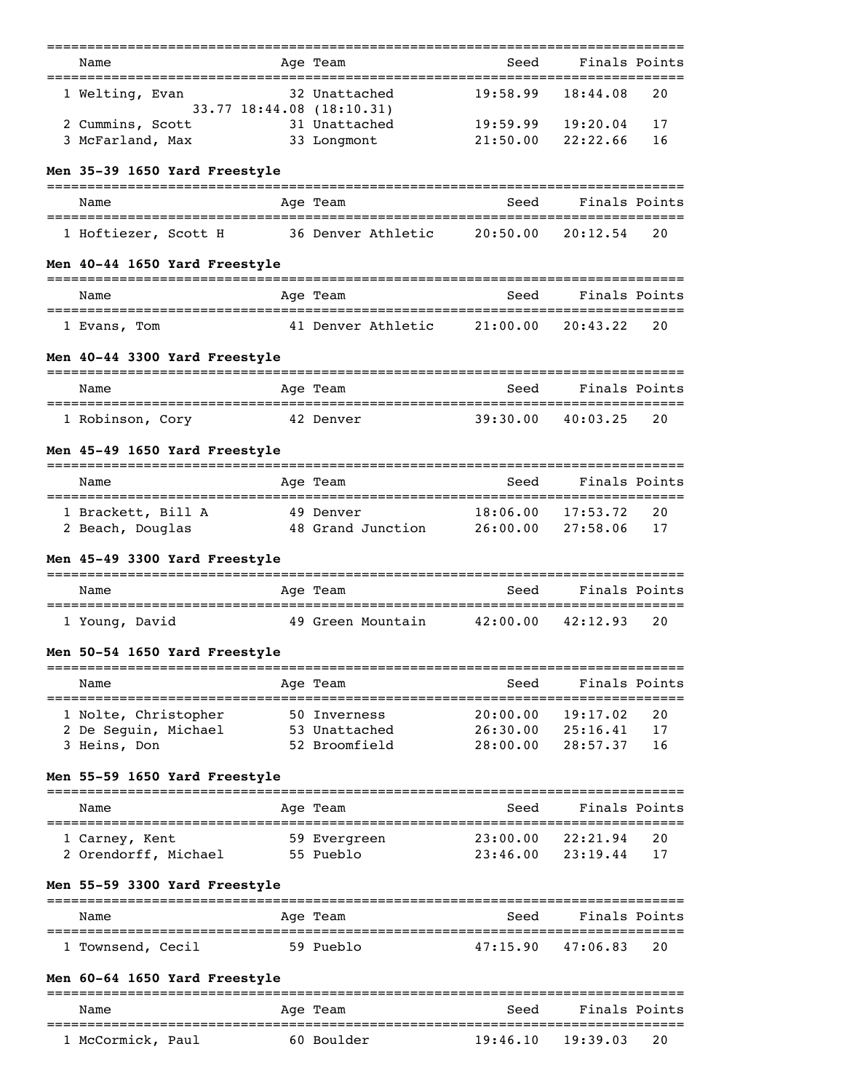|                                                      | ===========                                |                      |                           |          |
|------------------------------------------------------|--------------------------------------------|----------------------|---------------------------|----------|
| Name<br>;==============================              | Age Team                                   | Seed<br>________     | Finals Points<br>======== |          |
| 1 Welting, Evan                                      | 32 Unattached<br>33.77 18:44.08 (18:10.31) | 19:58.99             | 18:44.08                  | 20       |
| 2 Cummins, Scott                                     | 31 Unattached                              | 19:59.99             | 19:20.04                  | 17       |
| 3 McFarland, Max                                     | 33 Longmont                                | 21:50.00             | 22:22.66                  | 16       |
| Men 35-39 1650 Yard Freestyle                        |                                            |                      |                           |          |
| Name                                                 | Age Team                                   | Seed                 | Finals Points             |          |
| 1 Hoftiezer, Scott H                                 | 36 Denver Athletic                         | 20:50.00             | 20:12.54                  | 20       |
| Men 40-44 1650 Yard Freestyle                        |                                            |                      |                           |          |
| Name                                                 | Age Team                                   |                      | Seed Finals Points        |          |
| ====================================<br>1 Evans, Tom | 41 Denver Athletic                         | 21:00.00             | 20:43.22                  | 20       |
| Men 40-44 3300 Yard Freestyle                        |                                            |                      |                           |          |
| Name                                                 | Age Team                                   | Seed                 | Finals Points             |          |
| 1 Robinson, Cory                                     | 42 Denver                                  |                      | $39:30.00$ $40:03.25$     | 20       |
| Men 45-49 1650 Yard Freestyle                        |                                            |                      |                           |          |
| Name                                                 | Age Team                                   | Seed                 | Finals Points             |          |
| 1 Brackett, Bill A                                   | 49 Denver                                  | 18:06.00             | 17:53.72                  | 20       |
| 2 Beach, Douglas                                     | 48 Grand Junction 26:00.00                 |                      | 27:58.06                  | 17       |
| Men 45-49 3300 Yard Freestyle                        |                                            |                      |                           |          |
| Name                                                 | Age Team                                   | Seed                 | Finals Points             |          |
| 1 Young, David                                       | 49 Green Mountain                          | 42:00.00             | 42:12.93                  | 20       |
| Men 50-54 1650 Yard Freestyle                        |                                            |                      |                           |          |
| Name                                                 | Age Team<br>--------------------           | Seed                 | Finals Points             |          |
| 1 Nolte, Christopher                                 | 50 Inverness                               | 20:00.00             | 19:17.02                  | 20       |
| 2 De Seguin, Michael<br>3 Heins, Don                 | 53 Unattached<br>52 Broomfield             | 26:30.00<br>28:00.00 | 25:16.41<br>28:57.37      | 17<br>16 |
| Men 55-59 1650 Yard Freestyle                        |                                            |                      |                           |          |
| Name                                                 | Age Team                                   | Seed                 | Finals Points             |          |
|                                                      |                                            |                      |                           |          |
| 1 Carney, Kent<br>2 Orendorff, Michael               | 59 Evergreen<br>55 Pueblo                  | 23:00.00<br>23:46.00 | 22:21.94<br>23:19.44      | 20<br>17 |
| Men 55-59 3300 Yard Freestyle                        |                                            |                      |                           |          |
| Name                                                 | Age Team                                   | Seed                 | Finals Points             |          |
|                                                      | 59 Pueblo                                  | 47:15.90             | 47:06.83                  | 20       |
| 1 Townsend, Cecil                                    |                                            |                      |                           |          |
| Men 60-64 1650 Yard Freestyle                        |                                            |                      |                           |          |
| Name                                                 | Age Team                                   | Seed                 | Finals Points             |          |